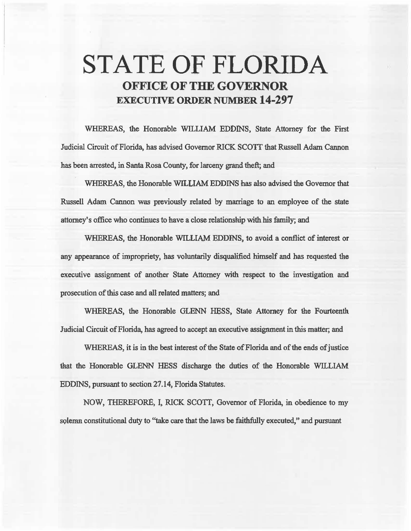# STATE OF FLORIDA **OFFICE OF THE GOVERNOR**  EXECUTIVE **ORDER** NUMBER **14-297**

WHEREAS, the Honorable WILLIAM EDDINS, State Attorney for the First Judicial Circuit of Florida, has advised Governor RICK SCOTT that Russell Adam Cannon has been arrested, in Santa Rosa County, for larceny grand theft; and

WHEREAS, the Honorable WILLIAM EDDINS has also advised the Governor that Russell Adam Cannon was previously related by marriage to an employee of the state attorney's office who continues to have a close relationship with his family; and

WHEREAS, the Honorable WILLIAM EDDINS, to avoid a conflict of interest or any appearance of impropriety, has voluntarily disqualified himself and has requested the executive assignment of another State Attorney with respect to the investigation and prosecution of this case and all related matters; and

WHEREAS, the Honorable GLENN HESS, State Attorney for the Fourteenth. Jadicial Circuit of Florida, has agreed to accept an executive assignment in this matter; and

WHEREAS, it is in the best interest of the State of Florida and of the ends of justice that the Honorable GLENN HESS discharge the duties of the Honorable WILLIAM EDDINS, pursuant to section 27.14, Florida Statutes.

NOW, THEREFORE, I, RICK SCOTI, Governor of Florida, in obedience to my solemn constitutional duty to "take care that the laws be faithfully executed," and pursuant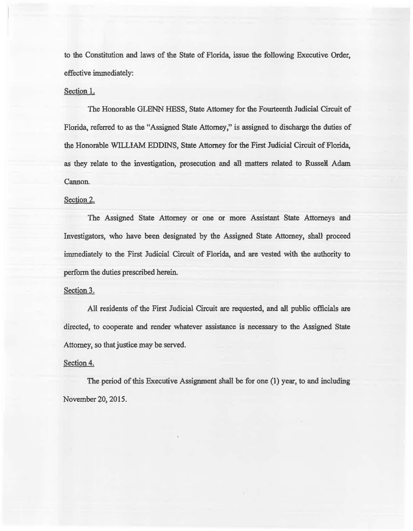to the Constitution and laws of 1he State of Florida, issue the following Executive Order, effective immediately:

## Section 1.

The Honorable GLENN HESS, State Attorney for the Fourteenth Judicial Circuit of Florida, referred to as the "Assigned State Attorney," is assigned to discharge the duties of the Honorable WILLIAM EDDINS, State Attorney for the First Judicial Circuit of Florida, as they relate to the investigation, prosecution and all matters related to Russell Adam Cannon.

## Section 2.

The Assigned State Attomey or one or more Assistant State Attorneys and Investigators, who have been designated by the Assigned State Attomey, shall proceed immediately to the First Judicial Circuit of Florida, and are vested with the authority to perform the duties prescribed herein.

### Section 3.

All residents of the First Judicial Circuit are requested, and all public officials are directed, to cooperate and render whatever assistance is necessary to the Assigned State Attorney, so that justice may be served.

### Section 4.

The period of this Executive Assignment shall be for one (l) year, to and including November 20, 2015.